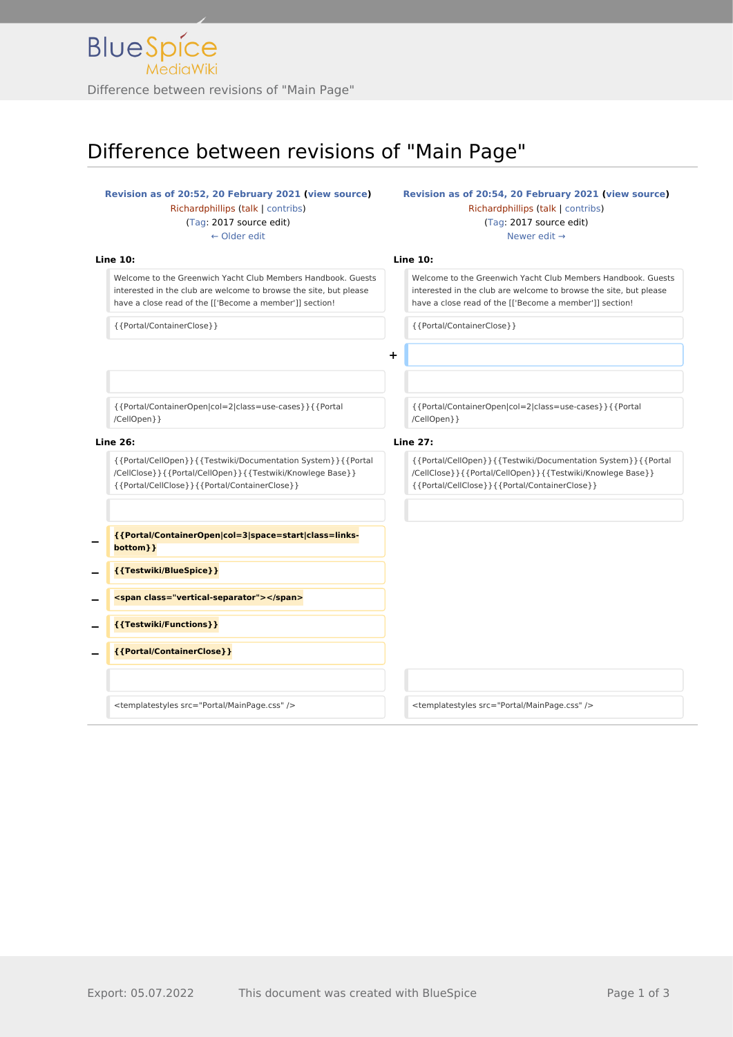## Difference between revisions of "Main Page"

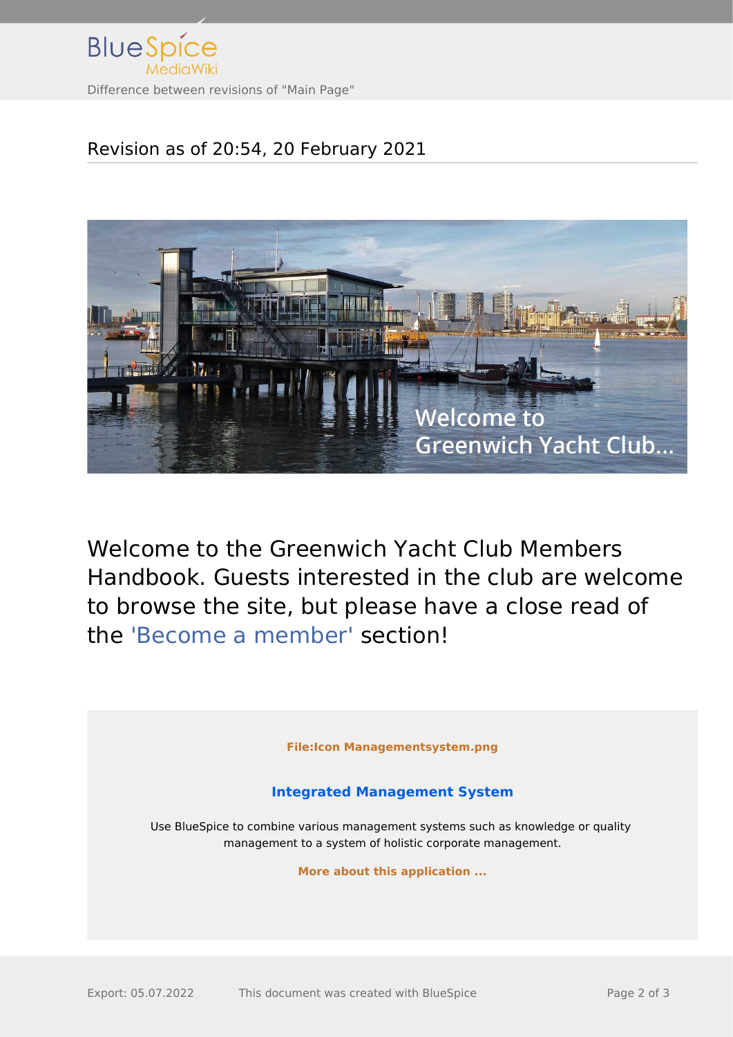

## Revision as of 20:54, 20 February 2021



Welcome to the Greenwich Yacht Club Members Handbook. Guests interested in the club are welcome to browse the site, but please have a close read of the ['Become a member'](http://www.greenwichyachtclub.co.uk/wiki/%27Become_a_member%27) section!

**[File:Icon Managementsystem.png](http://www.greenwichyachtclub.co.uk/w/index.php?title=Special:Upload&wpDestFile=Icon_Managementsystem.png)**

## **[Integrated Management System](http://www.greenwichyachtclub.co.uk/w/index.php?title=Integrated_Management_System&action=view)**

Use BlueSpice to combine various management systems such as knowledge or quality management to a system of holistic corporate management.

**[More about this application ...](http://www.greenwichyachtclub.co.uk/w/index.php?title=Integrated_Management_System&action=view)**